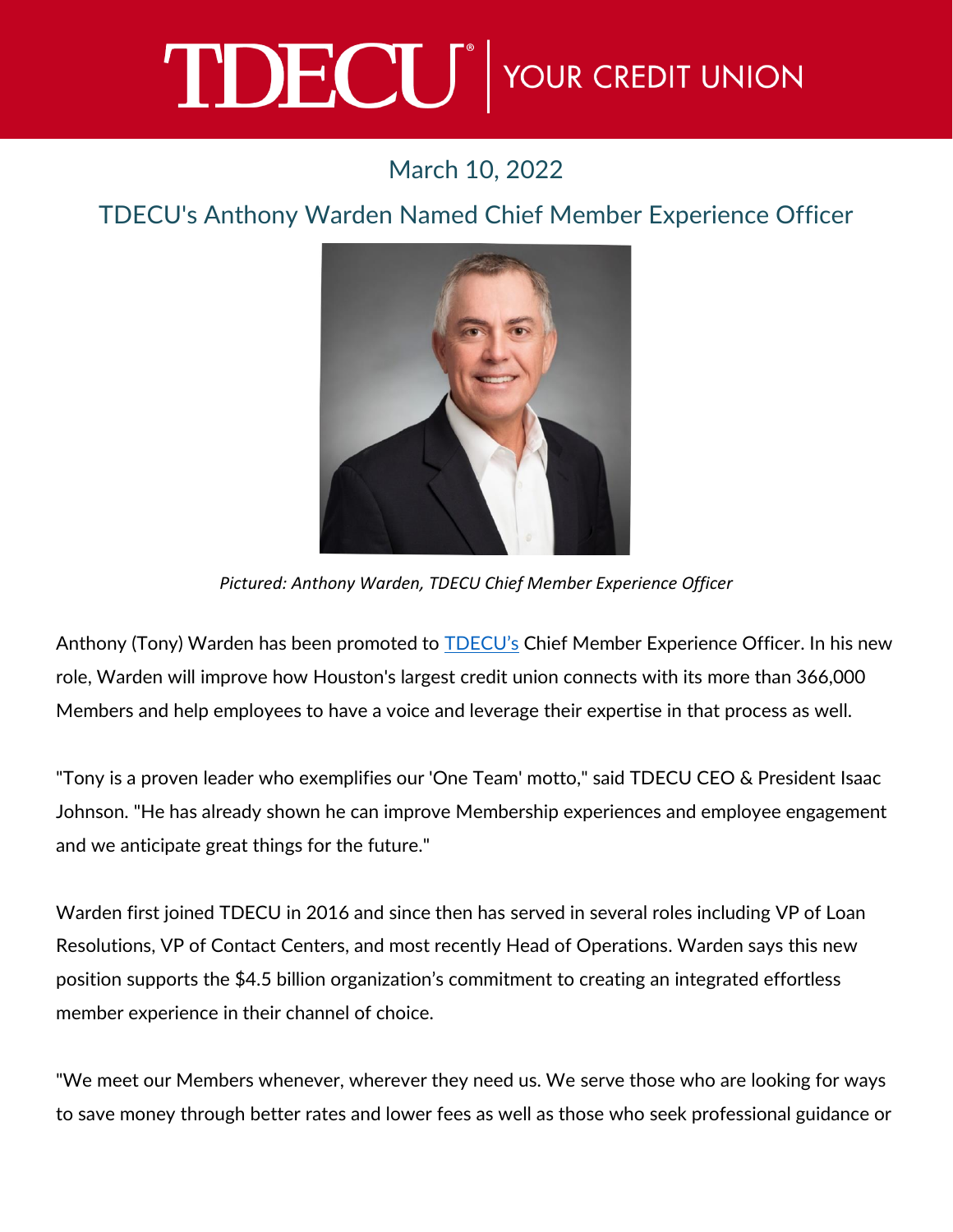## TDECU<sup>®</sup> YOUR CREDIT UNION

## March 10, 2022

## TDECU's Anthony Warden Named Chief Member Experience Officer



*Pictured: Anthony Warden, TDECU Chief Member Experience Officer* 

Anthony (Tony) Warden has been promoted to [TDECU's](https://www.tdecu.org/) Chief Member Experience Officer. In his new role, Warden will improve how Houston's largest credit union connects with its more than 366,000 Members and help employees to have a voice and leverage their expertise in that process as well.

"Tony is a proven leader who exemplifies our 'One Team' motto," said TDECU CEO & President Isaac Johnson. "He has already shown he can improve Membership experiences and employee engagement and we anticipate great things for the future."

Warden first joined TDECU in 2016 and since then has served in several roles including VP of Loan Resolutions, VP of Contact Centers, and most recently Head of Operations. Warden says this new position supports the \$4.5 billion organization's commitment to creating an integrated effortless member experience in their channel of choice.

"We meet our Members whenever, wherever they need us. We serve those who are looking for ways to save money through better rates and lower fees as well as those who seek professional guidance or